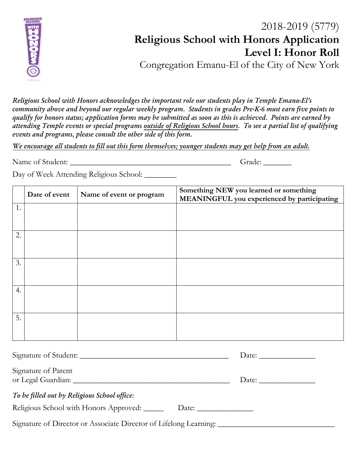

## 2018-2019 (5779) **Religious School with Honors Application Level I: Honor Roll** Congregation Emanu-El of the City of New York

*Religious School with Honors acknowledges the important role our students play in Temple Emanu-El's community above and beyond our regular weekly program. Students in grades Pre-K-6 must earn five points to qualify for honors status; application forms may be submitted as soon as this is achieved. Points are earned by attending Temple events or special programs outside of Religious School hours. To see a partial list of qualifying events and programs, please consult the other side of this form.* 

*We encourage all students to fill out this form themselves; younger students may get help from an adult.*

Name of Student: \_\_\_\_\_\_\_\_\_\_\_\_\_\_\_\_\_\_\_\_\_\_\_\_\_\_\_\_\_\_\_\_\_\_\_\_\_\_\_\_ Grade: \_\_\_\_\_\_\_

Day of Week Attending Religious School: \_\_\_\_\_\_\_\_\_

|    | Date of event | Name of event or program | Something NEW you learned or something<br>MEANINGFUL you experienced by participating |
|----|---------------|--------------------------|---------------------------------------------------------------------------------------|
| 1. |               |                          |                                                                                       |
|    |               |                          |                                                                                       |
| 2. |               |                          |                                                                                       |
|    |               |                          |                                                                                       |
| 3. |               |                          |                                                                                       |
|    |               |                          |                                                                                       |
| 4. |               |                          |                                                                                       |
|    |               |                          |                                                                                       |
| 5. |               |                          |                                                                                       |
|    |               |                          |                                                                                       |
|    |               |                          |                                                                                       |

| Signature of Student:                                                                                |       |  |
|------------------------------------------------------------------------------------------------------|-------|--|
| Signature of Parent                                                                                  |       |  |
| To be filled out by Religious School office:                                                         |       |  |
| Religious School with Honors Approved:                                                               | Date: |  |
| Signature of Director or Associate Director of Lifelong Learning: __________________________________ |       |  |